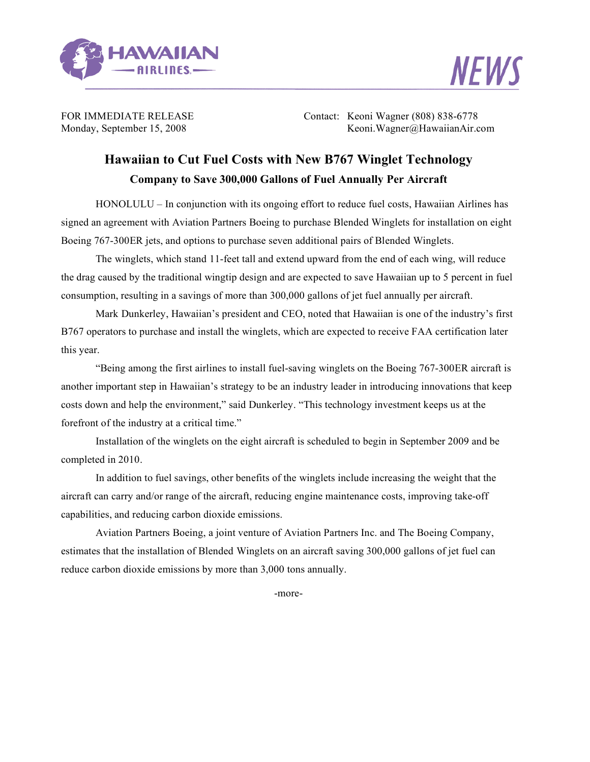



FOR IMMEDIATE RELEASE Contact: Keoni Wagner (808) 838-6778 Monday, September 15, 2008 Keoni.Wagner@HawaiianAir.com

## **Hawaiian to Cut Fuel Costs with New B767 Winglet Technology Company to Save 300,000 Gallons of Fuel Annually Per Aircraft**

HONOLULU – In conjunction with its ongoing effort to reduce fuel costs, Hawaiian Airlines has signed an agreement with Aviation Partners Boeing to purchase Blended Winglets for installation on eight Boeing 767-300ER jets, and options to purchase seven additional pairs of Blended Winglets.

The winglets, which stand 11-feet tall and extend upward from the end of each wing, will reduce the drag caused by the traditional wingtip design and are expected to save Hawaiian up to 5 percent in fuel consumption, resulting in a savings of more than 300,000 gallons of jet fuel annually per aircraft.

Mark Dunkerley, Hawaiian's president and CEO, noted that Hawaiian is one of the industry's first B767 operators to purchase and install the winglets, which are expected to receive FAA certification later this year.

"Being among the first airlines to install fuel-saving winglets on the Boeing 767-300ER aircraft is another important step in Hawaiian's strategy to be an industry leader in introducing innovations that keep costs down and help the environment," said Dunkerley. "This technology investment keeps us at the forefront of the industry at a critical time."

Installation of the winglets on the eight aircraft is scheduled to begin in September 2009 and be completed in 2010.

In addition to fuel savings, other benefits of the winglets include increasing the weight that the aircraft can carry and/or range of the aircraft, reducing engine maintenance costs, improving take-off capabilities, and reducing carbon dioxide emissions.

Aviation Partners Boeing, a joint venture of Aviation Partners Inc. and The Boeing Company, estimates that the installation of Blended Winglets on an aircraft saving 300,000 gallons of jet fuel can reduce carbon dioxide emissions by more than 3,000 tons annually.

-more-